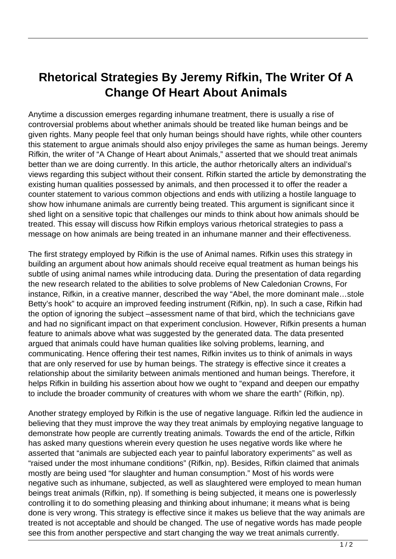## **Rhetorical Strategies By Jeremy Rifkin, The Writer Of A Change Of Heart About Animals**

Anytime a discussion emerges regarding inhumane treatment, there is usually a rise of controversial problems about whether animals should be treated like human beings and be given rights. Many people feel that only human beings should have rights, while other counters this statement to argue animals should also enjoy privileges the same as human beings. Jeremy Rifkin, the writer of "A Change of Heart about Animals," asserted that we should treat animals better than we are doing currently. In this article, the author rhetorically alters an individual's views regarding this subject without their consent. Rifkin started the article by demonstrating the existing human qualities possessed by animals, and then processed it to offer the reader a counter statement to various common objections and ends with utilizing a hostile language to show how inhumane animals are currently being treated. This argument is significant since it shed light on a sensitive topic that challenges our minds to think about how animals should be treated. This essay will discuss how Rifkin employs various rhetorical strategies to pass a message on how animals are being treated in an inhumane manner and their effectiveness.

The first strategy employed by Rifkin is the use of Animal names. Rifkin uses this strategy in building an argument about how animals should receive equal treatment as human beings his subtle of using animal names while introducing data. During the presentation of data regarding the new research related to the abilities to solve problems of New Caledonian Crowns, For instance, Rifkin, in a creative manner, described the way "Abel, the more dominant male…stole Betty's hook" to acquire an improved feeding instrument (Rifkin, np). In such a case, Rifkin had the option of ignoring the subject –assessment name of that bird, which the technicians gave and had no significant impact on that experiment conclusion. However, Rifkin presents a human feature to animals above what was suggested by the generated data. The data presented argued that animals could have human qualities like solving problems, learning, and communicating. Hence offering their test names, Rifkin invites us to think of animals in ways that are only reserved for use by human beings. The strategy is effective since it creates a relationship about the similarity between animals mentioned and human beings. Therefore, it helps Rifkin in building his assertion about how we ought to "expand and deepen our empathy to include the broader community of creatures with whom we share the earth" (Rifkin, np).

Another strategy employed by Rifkin is the use of negative language. Rifkin led the audience in believing that they must improve the way they treat animals by employing negative language to demonstrate how people are currently treating animals. Towards the end of the article, Rifkin has asked many questions wherein every question he uses negative words like where he asserted that "animals are subjected each year to painful laboratory experiments" as well as "raised under the most inhumane conditions" (Rifkin, np). Besides, Rifkin claimed that animals mostly are being used "for slaughter and human consumption." Most of his words were negative such as inhumane, subjected, as well as slaughtered were employed to mean human beings treat animals (Rifkin, np). If something is being subjected, it means one is powerlessly controlling it to do something pleasing and thinking about inhumane; it means what is being done is very wrong. This strategy is effective since it makes us believe that the way animals are treated is not acceptable and should be changed. The use of negative words has made people see this from another perspective and start changing the way we treat animals currently.